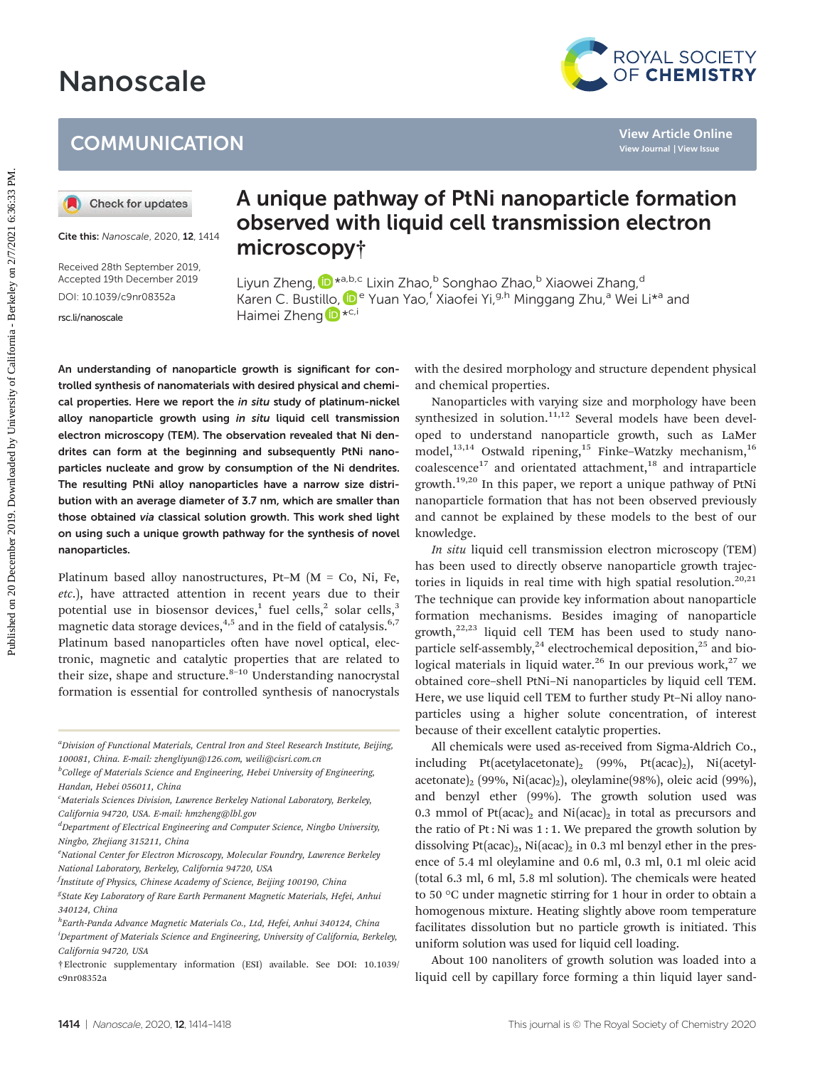# Nanoscale

### **COMMUNICATION**



Cite this: Nanoscale, 2020, 12, 1414

Received 28th September 2019, Accepted 19th December 2019 DOI: 10.1039/c9nr08352a

[rsc.li/nanoscale](www.rsc.li/nanoscale)

## A unique pathway of PtNi nanoparticle formation observed with liquid cell transmission electron microscopy†

Liyun Zheng, D<sup>\*a,b,c</sup> Lixin Zhao,<sup>b</sup> Songhao Zhao,<sup>b</sup> Xiaowei Zhang,<sup>d</sup> Karen C. Bustil[lo,](http://orcid.org/0000-0003-3813-4170) <sup>De</sup> Yuan Yao,<sup>f</sup> Xiaofei Yi,<sup>g,h</sup> Minggang Zhu,<sup>a</sup> Wei Li<sup>\*a</sup> and Haimei Zheng D<sup>\*c,i</sup>

An understanding of nanoparticle growth is significant for controlled synthesis of nanomaterials with desired physical and chemical properties. Here we report the in situ study of platinum-nickel alloy nanoparticle growth using in situ liquid cell transmission electron microscopy (TEM). The observation revealed that Ni dendrites can form at the beginning and subsequently PtNi nanoparticles nucleate and grow by consumption of the Ni dendrites. The resulting PtNi alloy nanoparticles have a narrow size distribution with an average diameter of 3.7 nm, which are smaller than those obtained via classical solution growth. This work shed light on using such a unique growth pathway for the synthesis of novel nanoparticles. **Published on 20**<br> **Published on 2019. Downloaded by California Conserved With liquid cell transmission electron<br>
Experiment on 2020. During and <b>California - California - California - Markov California - Markov California** 

Platinum based alloy nanostructures, Pt–M (M = Co, Ni, Fe, etc.), have attracted attention in recent years due to their potential use in biosensor devices,<sup>1</sup> fuel cells,<sup>2</sup> solar cells,<sup>3</sup> magnetic data storage devices,<sup>4,5</sup> and in the field of catalysis.<sup>6,7</sup> Platinum based nanoparticles often have novel optical, electronic, magnetic and catalytic properties that are related to their size, shape and structure. $8-10$  Understanding nanocrystal formation is essential for controlled synthesis of nanocrystals

<sup>a</sup>Division of Functional Materials, Central Iron and Steel Research Institute, Beijing, 100081, China. E-mail: zhengliyun@126.com, weili@cisri.com.cn

with the desired morphology and structure dependent physical and chemical properties.

Nanoparticles with varying size and morphology have been synthesized in solution.<sup>11,12</sup> Several models have been developed to understand nanoparticle growth, such as LaMer model, $13,14$  Ostwald ripening, $15$  Finke–Watzky mechanism, $16$  $coalescence<sup>17</sup>$  and orientated attachment,<sup>18</sup> and intraparticle growth.<sup>19,20</sup> In this paper, we report a unique pathway of PtNi nanoparticle formation that has not been observed previously and cannot be explained by these models to the best of our knowledge.

In situ liquid cell transmission electron microscopy (TEM) has been used to directly observe nanoparticle growth trajectories in liquids in real time with high spatial resolution.<sup>20,21</sup> The technique can provide key information about nanoparticle formation mechanisms. Besides imaging of nanoparticle growth, $22,23$  liquid cell TEM has been used to study nanoparticle self-assembly, $^{24}$  electrochemical deposition, $^{25}$  and biological materials in liquid water.<sup>26</sup> In our previous work, $27$  we obtained core–shell PtNi–Ni nanoparticles by liquid cell TEM. Here, we use liquid cell TEM to further study Pt–Ni alloy nanoparticles using a higher solute concentration, of interest because of their excellent catalytic properties.

All chemicals were used as-received from Sigma-Aldrich Co., including Pt(acetylacetonate)<sub>2</sub> (99%, Pt(acac)<sub>2</sub>), Ni(acetylacetonate)<sub>2</sub> (99%, Ni(acac)<sub>2</sub>), oleylamine(98%), oleic acid (99%), and benzyl ether (99%). The growth solution used was 0.3 mmol of  $Pt(ace)_2$  and  $Ni(ace)_2$  in total as precursors and the ratio of Pt : Ni was 1 : 1. We prepared the growth solution by dissolving Pt(acac)<sub>2</sub>, Ni(acac)<sub>2</sub> in 0.3 ml benzyl ether in the presence of 5.4 ml oleylamine and 0.6 ml, 0.3 ml, 0.1 ml oleic acid (total 6.3 ml, 6 ml, 5.8 ml solution). The chemicals were heated to 50 °C under magnetic stirring for 1 hour in order to obtain a homogenous mixture. Heating slightly above room temperature facilitates dissolution but no particle growth is initiated. This uniform solution was used for liquid cell loading.

About 100 nanoliters of growth solution was loaded into a liquid cell by capillary force forming a thin liquid layer sand-

<sup>&</sup>lt;sup>b</sup>College of Materials Science and Engineering, Hebei University of Engineering, Handan, Hebei 056011, China

<sup>&</sup>lt;sup>c</sup>Materials Sciences Division, Lawrence Berkeley National Laboratory, Berkeley, California 94720, USA. E-mail: hmzheng@lbl.gov

<sup>&</sup>lt;sup>d</sup>Department of Electrical Engineering and Computer Science, Ningbo University, Ningbo, Zhejiang 315211, China

<sup>&</sup>lt;sup>e</sup>National Center for Electron Microscopy, Molecular Foundry, Lawrence Berkeley National Laboratory, Berkeley, California 94720, USA

<sup>&</sup>lt;sup>f</sup>Institute of Physics, Chinese Academy of Science, Beijing 100190, China

<sup>&</sup>lt;sup>g</sup>State Key Laboratory of Rare Earth Permanent Magnetic Materials, Hefei, Anhui 340124, China

<sup>&</sup>lt;sup>h</sup>Earth-Panda Advance Magnetic Materials Co., Ltd, Hefei, Anhui 340124, China

<sup>&</sup>lt;sup>i</sup>Department of Materials Science and Engineering, University of California, Berkeley, California 94720, USA

<sup>†</sup>Electronic supplementary information (ESI) available. See DOI: 10.1039/ c9nr08352a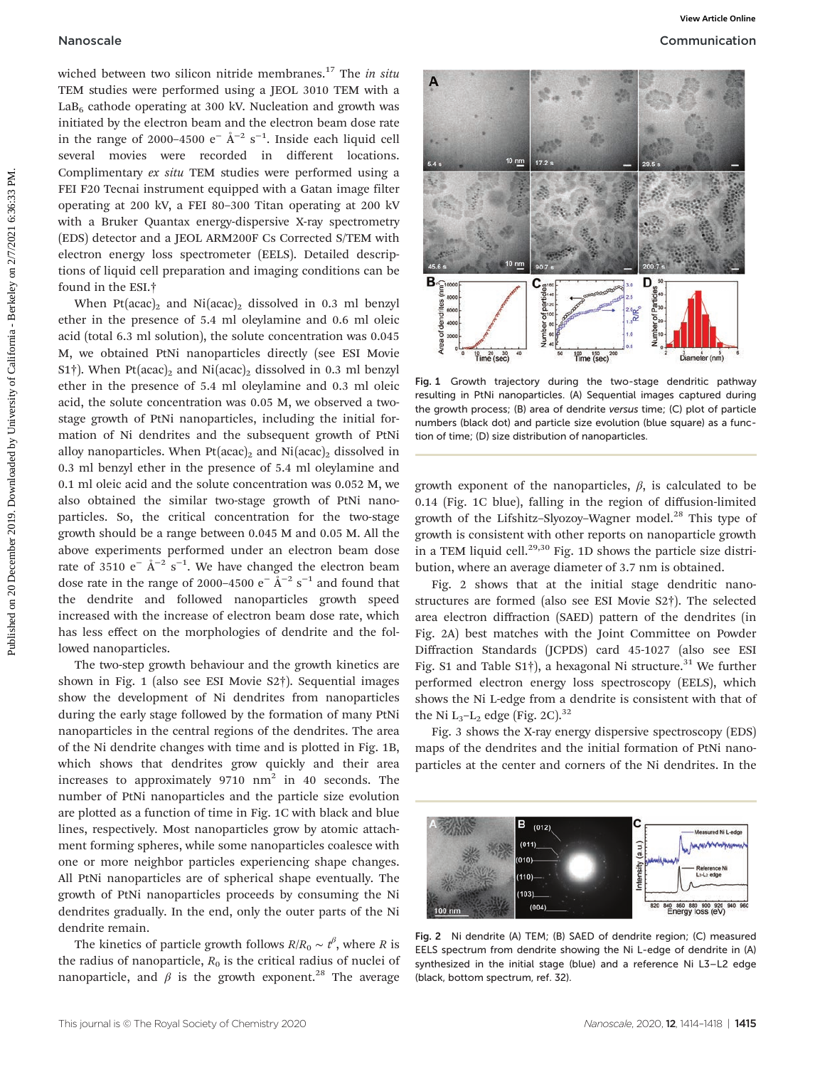wiched between two silicon nitride membranes.<sup>17</sup> The in situ TEM studies were performed using a JEOL 3010 TEM with a  $LaB<sub>6</sub>$  cathode operating at 300 kV. Nucleation and growth was initiated by the electron beam and the electron beam dose rate in the range of 2000–4500  $e^{-}$  Å<sup>-2</sup> s<sup>-1</sup>. Inside each liquid cell several movies were recorded in different locations. Complimentary ex situ TEM studies were performed using a FEI F20 Tecnai instrument equipped with a Gatan image filter operating at 200 kV, a FEI 80–300 Titan operating at 200 kV with a Bruker Quantax energy-dispersive X-ray spectrometry (EDS) detector and a JEOL ARM200F Cs Corrected S/TEM with electron energy loss spectrometer (EELS). Detailed descriptions of liquid cell preparation and imaging conditions can be found in the ESI.†

When Pt(acac)<sub>2</sub> and Ni(acac)<sub>2</sub> dissolved in 0.3 ml benzyl ether in the presence of 5.4 ml oleylamine and 0.6 ml oleic acid (total 6.3 ml solution), the solute concentration was 0.045 M, we obtained PtNi nanoparticles directly (see ESI Movie S1<sup>†</sup>). When Pt(acac)<sub>2</sub> and Ni(acac)<sub>2</sub> dissolved in 0.3 ml benzyl ether in the presence of 5.4 ml oleylamine and 0.3 ml oleic acid, the solute concentration was 0.05 M, we observed a twostage growth of PtNi nanoparticles, including the initial formation of Ni dendrites and the subsequent growth of PtNi alloy nanoparticles. When  $Pt(acac)_2$  and  $Ni(acac)_2$  dissolved in 0.3 ml benzyl ether in the presence of 5.4 ml oleylamine and 0.1 ml oleic acid and the solute concentration was 0.052 M, we also obtained the similar two-stage growth of PtNi nanoparticles. So, the critical concentration for the two-stage growth should be a range between 0.045 M and 0.05 M. All the above experiments performed under an electron beam dose rate of 3510  $e^-$  Å<sup>-2</sup> s<sup>-1</sup>. We have changed the electron beam dose rate in the range of 2000–4500 e<sup>-</sup> Å<sup>-2</sup> s<sup>-1</sup> and found that the dendrite and followed nanoparticles growth speed increased with the increase of electron beam dose rate, which has less effect on the morphologies of dendrite and the followed nanoparticles. **Nanoscale**<br> **Examples the control of the control on 20** December 2019. The control of the control of the control of the control of the control of the control of the control of the control of the control of the control of

The two-step growth behaviour and the growth kinetics are shown in Fig. 1 (also see ESI Movie S2†). Sequential images show the development of Ni dendrites from nanoparticles during the early stage followed by the formation of many PtNi nanoparticles in the central regions of the dendrites. The area of the Ni dendrite changes with time and is plotted in Fig. 1B, which shows that dendrites grow quickly and their area increases to approximately  $9710 \text{ nm}^2$  in 40 seconds. The number of PtNi nanoparticles and the particle size evolution are plotted as a function of time in Fig. 1C with black and blue lines, respectively. Most nanoparticles grow by atomic attachment forming spheres, while some nanoparticles coalesce with one or more neighbor particles experiencing shape changes. All PtNi nanoparticles are of spherical shape eventually. The growth of PtNi nanoparticles proceeds by consuming the Ni dendrites gradually. In the end, only the outer parts of the Ni dendrite remain.

The kinetics of particle growth follows  $R/R_0 \sim t^{\beta}$ , where R is the radius of nanoparticle,  $R_0$  is the critical radius of nuclei of nanoparticle, and  $\beta$  is the growth exponent.<sup>28</sup> The average



Fig. 1 Growth trajectory during the two-stage dendritic pathway resulting in PtNi nanoparticles. (A) Sequential images captured during the growth process; (B) area of dendrite versus time; (C) plot of particle numbers (black dot) and particle size evolution (blue square) as a function of time; (D) size distribution of nanoparticles.

growth exponent of the nanoparticles,  $\beta$ , is calculated to be 0.14 (Fig. 1C blue), falling in the region of diffusion-limited growth of the Lifshitz-Slyozoy-Wagner model.<sup>28</sup> This type of growth is consistent with other reports on nanoparticle growth in a TEM liquid cell.<sup>29,30</sup> Fig. 1D shows the particle size distribution, where an average diameter of 3.7 nm is obtained.

Fig. 2 shows that at the initial stage dendritic nanostructures are formed (also see ESI Movie S2†). The selected area electron diffraction (SAED) pattern of the dendrites (in Fig. 2A) best matches with the Joint Committee on Powder Diffraction Standards (JCPDS) card 45-1027 (also see ESI Fig. S1 and Table S1<sup>†</sup>), a hexagonal Ni structure.<sup>31</sup> We further performed electron energy loss spectroscopy (EELS), which shows the Ni L-edge from a dendrite is consistent with that of the Ni  $L_3$ - $L_2$  edge (Fig. 2C).<sup>32</sup>

Fig. 3 shows the X-ray energy dispersive spectroscopy (EDS) maps of the dendrites and the initial formation of PtNi nanoparticles at the center and corners of the Ni dendrites. In the



Fig. 2 Ni dendrite (A) TEM; (B) SAED of dendrite region; (C) measured EELS spectrum from dendrite showing the Ni L-edge of dendrite in (A) synthesized in the initial stage (blue) and a reference Ni L3–L2 edge (black, bottom spectrum, ref. 32).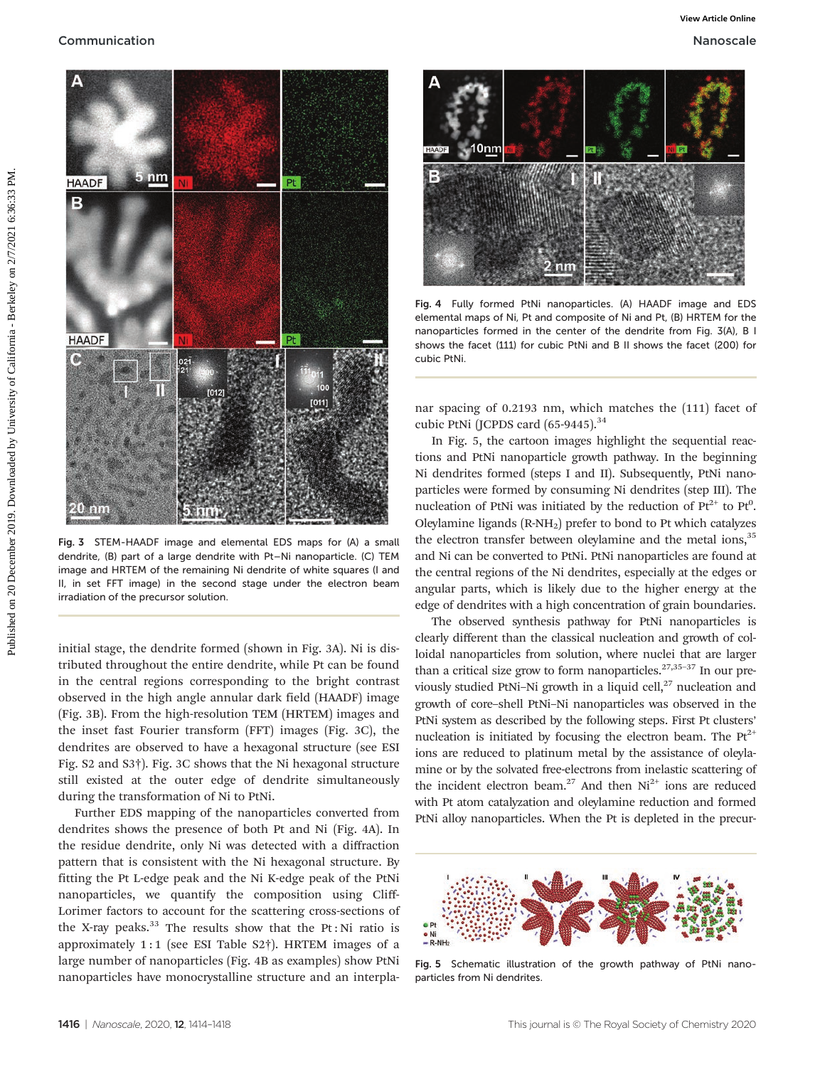

Fig. 3 STEM-HAADF image and elemental EDS maps for (A) a small dendrite, (B) part of a large dendrite with Pt–Ni nanoparticle. (C) TEM image and HRTEM of the remaining Ni dendrite of white squares (I and II, in set FFT image) in the second stage under the electron beam irradiation of the precursor solution.

initial stage, the dendrite formed (shown in Fig. 3A). Ni is distributed throughout the entire dendrite, while Pt can be found in the central regions corresponding to the bright contrast observed in the high angle annular dark field (HAADF) image (Fig. 3B). From the high-resolution TEM (HRTEM) images and the inset fast Fourier transform (FFT) images (Fig. 3C), the dendrites are observed to have a hexagonal structure (see ESI Fig. S2 and S3†). Fig. 3C shows that the Ni hexagonal structure still existed at the outer edge of dendrite simultaneously during the transformation of Ni to PtNi.

Further EDS mapping of the nanoparticles converted from dendrites shows the presence of both Pt and Ni (Fig. 4A). In the residue dendrite, only Ni was detected with a diffraction pattern that is consistent with the Ni hexagonal structure. By fitting the Pt L-edge peak and the Ni K-edge peak of the PtNi nanoparticles, we quantify the composition using Cliff-Lorimer factors to account for the scattering cross-sections of the X-ray peaks. $33$  The results show that the Pt: Ni ratio is approximately 1:1 (see ESI Table S2 $\dagger$ ). HRTEM images of a large number of nanoparticles (Fig. 4B as examples) show PtNi nanoparticles have monocrystalline structure and an interpla-



Fig. 4 Fully formed PtNi nanoparticles. (A) HAADF image and EDS elemental maps of Ni, Pt and composite of Ni and Pt, (B) HRTEM for the nanoparticles formed in the center of the dendrite from Fig. 3(A), B I shows the facet (111) for cubic PtNi and B II shows the facet (200) for cubic PtNi.

nar spacing of 0.2193 nm, which matches the (111) facet of cubic PtNi (JCPDS card  $(65-9445).$ <sup>34</sup>

In Fig. 5, the cartoon images highlight the sequential reactions and PtNi nanoparticle growth pathway. In the beginning Ni dendrites formed (steps I and II). Subsequently, PtNi nanoparticles were formed by consuming Ni dendrites (step III). The nucleation of PtNi was initiated by the reduction of  $Pt^{2+}$  to  $Pt^{0}$ . Oleylamine ligands (R-NH2) prefer to bond to Pt which catalyzes the electron transfer between oleylamine and the metal ions,<sup>35</sup> and Ni can be converted to PtNi. PtNi nanoparticles are found at the central regions of the Ni dendrites, especially at the edges or angular parts, which is likely due to the higher energy at the edge of dendrites with a high concentration of grain boundaries.

The observed synthesis pathway for PtNi nanoparticles is clearly different than the classical nucleation and growth of colloidal nanoparticles from solution, where nuclei that are larger than a critical size grow to form nanoparticles.<sup>27,35-37</sup> In our previously studied PtNi-Ni growth in a liquid cell,<sup>27</sup> nucleation and growth of core–shell PtNi–Ni nanoparticles was observed in the PtNi system as described by the following steps. First Pt clusters' nucleation is initiated by focusing the electron beam. The  $Pt^{2+}$ ions are reduced to platinum metal by the assistance of oleylamine or by the solvated free-electrons from inelastic scattering of the incident electron beam.<sup>27</sup> And then  $Ni<sup>2+</sup>$  ions are reduced with Pt atom catalyzation and oleylamine reduction and formed PtNi alloy nanoparticles. When the Pt is depleted in the precur-



Fig. 5 Schematic illustration of the growth pathway of PtNi nanoparticles from Ni dendrites.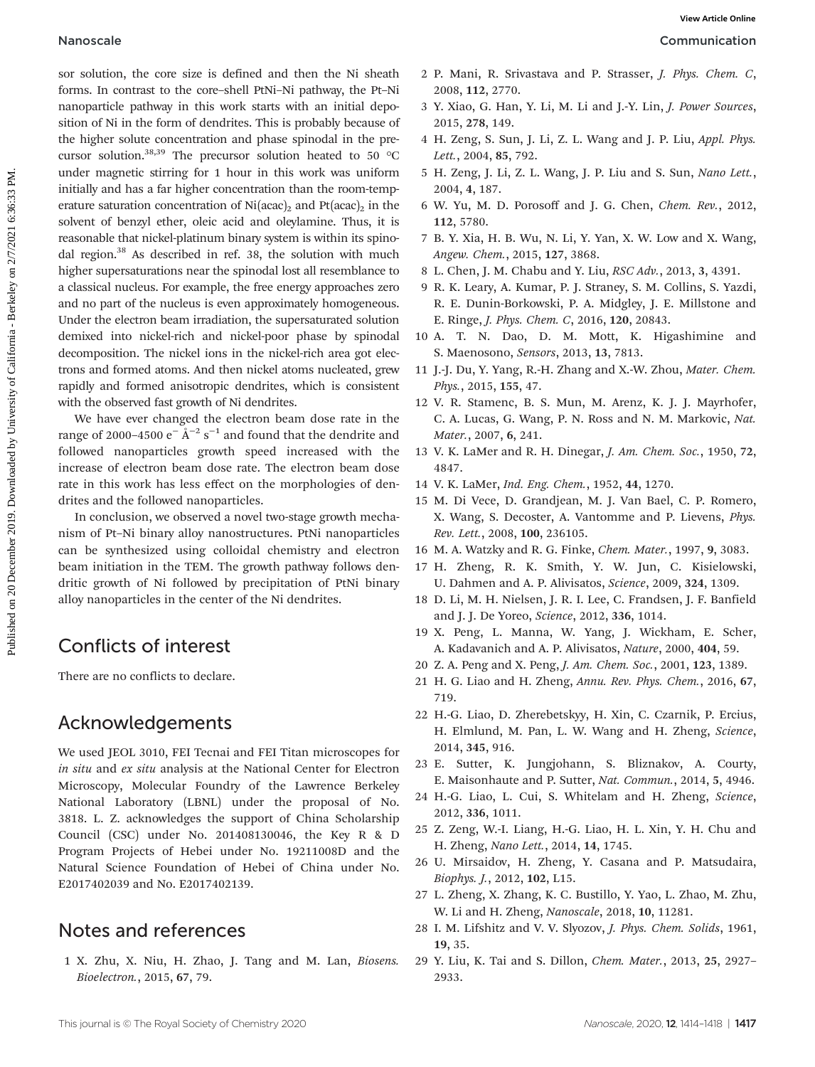sor solution, the core size is defined and then the Ni sheath forms. In contrast to the core–shell PtNi–Ni pathway, the Pt–Ni nanoparticle pathway in this work starts with an initial deposition of Ni in the form of dendrites. This is probably because of the higher solute concentration and phase spinodal in the precursor solution.<sup>38,39</sup> The precursor solution heated to 50  $^{\circ}$ C under magnetic stirring for 1 hour in this work was uniform initially and has a far higher concentration than the room-temperature saturation concentration of  $Ni(\text{acac})_2$  and  $Pt(\text{acac})_2$  in the solvent of benzyl ether, oleic acid and oleylamine. Thus, it is reasonable that nickel-platinum binary system is within its spinodal region.<sup>38</sup> As described in ref. 38, the solution with much higher supersaturations near the spinodal lost all resemblance to a classical nucleus. For example, the free energy approaches zero and no part of the nucleus is even approximately homogeneous. Under the electron beam irradiation, the supersaturated solution demixed into nickel-rich and nickel-poor phase by spinodal decomposition. The nickel ions in the nickel-rich area got electrons and formed atoms. And then nickel atoms nucleated, grew rapidly and formed anisotropic dendrites, which is consistent with the observed fast growth of Ni dendrites. **Nanoscale**<br>
See notation, the cose size is defined and then the Nishank 1 P. Main, R. Sivestane and P. Strasset, J. Peys. Chem.<br>
Seems, the main of Ni in the form of denotines, this is probably because of 2018, 278, 140,

We have ever changed the electron beam dose rate in the range of 2000–4500  $\mathrm{e}^-\,\mathrm{\AA}^{-2}\,\mathrm{s}^{-1}$  and found that the dendrite and followed nanoparticles growth speed increased with the increase of electron beam dose rate. The electron beam dose rate in this work has less effect on the morphologies of dendrites and the followed nanoparticles.

In conclusion, we observed a novel two-stage growth mechanism of Pt–Ni binary alloy nanostructures. PtNi nanoparticles can be synthesized using colloidal chemistry and electron beam initiation in the TEM. The growth pathway follows dendritic growth of Ni followed by precipitation of PtNi binary alloy nanoparticles in the center of the Ni dendrites.

## Conflicts of interest

There are no conflicts to declare.

#### Acknowledgements

We used JEOL 3010, FEI Tecnai and FEI Titan microscopes for in situ and ex situ analysis at the National Center for Electron Microscopy, Molecular Foundry of the Lawrence Berkeley National Laboratory (LBNL) under the proposal of No. 3818. L. Z. acknowledges the support of China Scholarship Council (CSC) under No. 201408130046, the Key R & D Program Projects of Hebei under No. 19211008D and the Natural Science Foundation of Hebei of China under No. E2017402039 and No. E2017402139.

#### Notes and references

1 X. Zhu, X. Niu, H. Zhao, J. Tang and M. Lan, Biosens. Bioelectron., 2015, 67, 79.

- 2 P. Mani, R. Srivastava and P. Strasser, J. Phys. Chem. C, 2008, 112, 2770.
- 3 Y. Xiao, G. Han, Y. Li, M. Li and J.-Y. Lin, J. Power Sources, 2015, 278, 149.
- 4 H. Zeng, S. Sun, J. Li, Z. L. Wang and J. P. Liu, Appl. Phys. Lett., 2004, 85, 792.
- 5 H. Zeng, J. Li, Z. L. Wang, J. P. Liu and S. Sun, Nano Lett., 2004, 4, 187.
- 6 W. Yu, M. D. Porosoff and J. G. Chen, Chem. Rev., 2012, 112, 5780.
- 7 B. Y. Xia, H. B. Wu, N. Li, Y. Yan, X. W. Low and X. Wang, Angew. Chem., 2015, 127, 3868.
- 8 L. Chen, J. M. Chabu and Y. Liu, RSC Adv., 2013, 3, 4391.
- 9 R. K. Leary, A. Kumar, P. J. Straney, S. M. Collins, S. Yazdi, R. E. Dunin-Borkowski, P. A. Midgley, J. E. Millstone and E. Ringe, J. Phys. Chem. C, 2016, 120, 20843.
- 10 A. T. N. Dao, D. M. Mott, K. Higashimine and S. Maenosono, Sensors, 2013, 13, 7813.
- 11 J.-J. Du, Y. Yang, R.-H. Zhang and X.-W. Zhou, Mater. Chem. Phys., 2015, 155, 47.
- 12 V. R. Stamenc, B. S. Mun, M. Arenz, K. J. J. Mayrhofer, C. A. Lucas, G. Wang, P. N. Ross and N. M. Markovic, Nat. Mater., 2007, 6, 241.
- 13 V. K. LaMer and R. H. Dinegar, J. Am. Chem. Soc., 1950, 72, 4847.
- 14 V. K. LaMer, Ind. Eng. Chem., 1952, 44, 1270.
- 15 M. Di Vece, D. Grandjean, M. J. Van Bael, C. P. Romero, X. Wang, S. Decoster, A. Vantomme and P. Lievens, Phys. Rev. Lett., 2008, 100, 236105.
- 16 M. A. Watzky and R. G. Finke, Chem. Mater., 1997, 9, 3083.
- 17 H. Zheng, R. K. Smith, Y. W. Jun, C. Kisielowski, U. Dahmen and A. P. Alivisatos, Science, 2009, 324, 1309.
- 18 D. Li, M. H. Nielsen, J. R. I. Lee, C. Frandsen, J. F. Banfield and J. J. De Yoreo, Science, 2012, 336, 1014.
- 19 X. Peng, L. Manna, W. Yang, J. Wickham, E. Scher, A. Kadavanich and A. P. Alivisatos, Nature, 2000, 404, 59.
- 20 Z. A. Peng and X. Peng, J. Am. Chem. Soc., 2001, 123, 1389.
- 21 H. G. Liao and H. Zheng, Annu. Rev. Phys. Chem., 2016, 67, 719.
- 22 H.-G. Liao, D. Zherebetskyy, H. Xin, C. Czarnik, P. Ercius, H. Elmlund, M. Pan, L. W. Wang and H. Zheng, Science, 2014, 345, 916.
- 23 E. Sutter, K. Jungjohann, S. Bliznakov, A. Courty, E. Maisonhaute and P. Sutter, Nat. Commun., 2014, 5, 4946.
- 24 H.-G. Liao, L. Cui, S. Whitelam and H. Zheng, Science, 2012, 336, 1011.
- 25 Z. Zeng, W.-I. Liang, H.-G. Liao, H. L. Xin, Y. H. Chu and H. Zheng, Nano Lett., 2014, 14, 1745.
- 26 U. Mirsaidov, H. Zheng, Y. Casana and P. Matsudaira, Biophys. J., 2012, 102, L15.
- 27 L. Zheng, X. Zhang, K. C. Bustillo, Y. Yao, L. Zhao, M. Zhu, W. Li and H. Zheng, Nanoscale, 2018, 10, 11281.
- 28 I. M. Lifshitz and V. V. Slyozov, J. Phys. Chem. Solids, 1961, 19, 35.
- 29 Y. Liu, K. Tai and S. Dillon, Chem. Mater., 2013, 25, 2927– 2933.